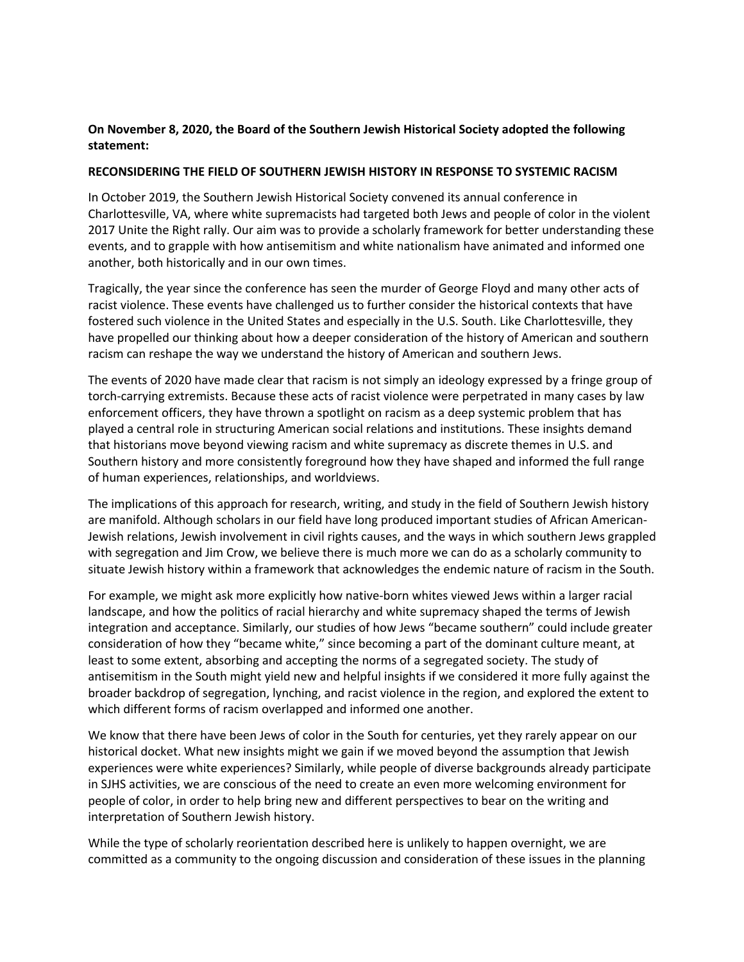## **On November 8, 2020, the Board of the Southern Jewish Historical Society adopted the following statement:**

## **RECONSIDERING THE FIELD OF SOUTHERN JEWISH HISTORY IN RESPONSE TO SYSTEMIC RACISM**

In October 2019, the Southern Jewish Historical Society convened its annual conference in Charlottesville, VA, where white supremacists had targeted both Jews and people of color in the violent 2017 Unite the Right rally. Our aim was to provide a scholarly framework for better understanding these events, and to grapple with how antisemitism and white nationalism have animated and informed one another, both historically and in our own times.

Tragically, the year since the conference has seen the murder of George Floyd and many other acts of racist violence. These events have challenged us to further consider the historical contexts that have fostered such violence in the United States and especially in the U.S. South. Like Charlottesville, they have propelled our thinking about how a deeper consideration of the history of American and southern racism can reshape the way we understand the history of American and southern Jews.

The events of 2020 have made clear that racism is not simply an ideology expressed by a fringe group of torch-carrying extremists. Because these acts of racist violence were perpetrated in many cases by law enforcement officers, they have thrown a spotlight on racism as a deep systemic problem that has played a central role in structuring American social relations and institutions. These insights demand that historians move beyond viewing racism and white supremacy as discrete themes in U.S. and Southern history and more consistently foreground how they have shaped and informed the full range of human experiences, relationships, and worldviews.

The implications of this approach for research, writing, and study in the field of Southern Jewish history are manifold. Although scholars in our field have long produced important studies of African American-Jewish relations, Jewish involvement in civil rights causes, and the ways in which southern Jews grappled with segregation and Jim Crow, we believe there is much more we can do as a scholarly community to situate Jewish history within a framework that acknowledges the endemic nature of racism in the South.

For example, we might ask more explicitly how native-born whites viewed Jews within a larger racial landscape, and how the politics of racial hierarchy and white supremacy shaped the terms of Jewish integration and acceptance. Similarly, our studies of how Jews "became southern" could include greater consideration of how they "became white," since becoming a part of the dominant culture meant, at least to some extent, absorbing and accepting the norms of a segregated society. The study of antisemitism in the South might yield new and helpful insights if we considered it more fully against the broader backdrop of segregation, lynching, and racist violence in the region, and explored the extent to which different forms of racism overlapped and informed one another.

We know that there have been Jews of color in the South for centuries, yet they rarely appear on our historical docket. What new insights might we gain if we moved beyond the assumption that Jewish experiences were white experiences? Similarly, while people of diverse backgrounds already participate in SJHS activities, we are conscious of the need to create an even more welcoming environment for people of color, in order to help bring new and different perspectives to bear on the writing and interpretation of Southern Jewish history.

While the type of scholarly reorientation described here is unlikely to happen overnight, we are committed as a community to the ongoing discussion and consideration of these issues in the planning